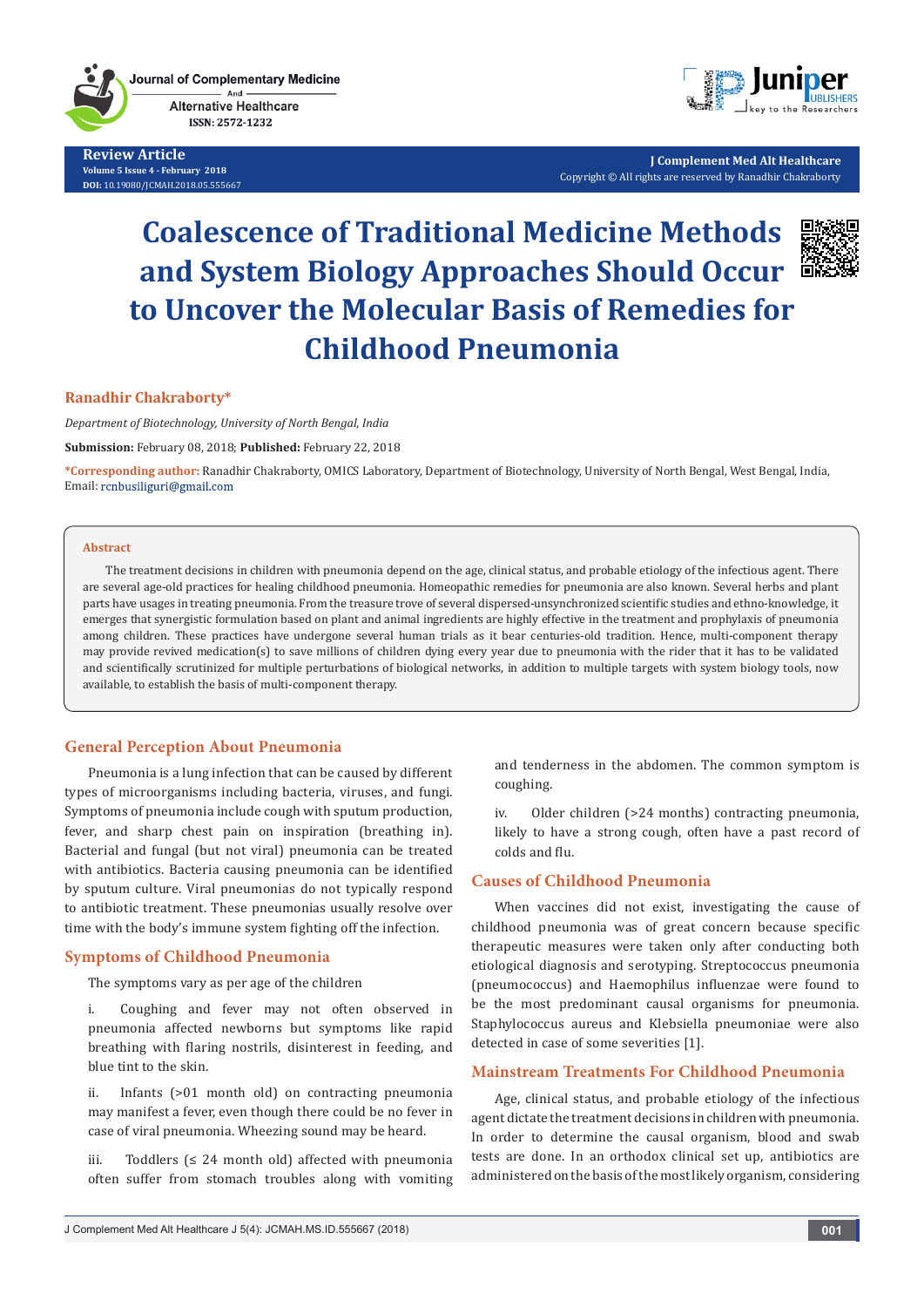**Journal of Complementary Medicine** And **Alternative Healthcare** ISSN: 2572-1232

**Review Article Volume 5 Issue 4 - February 2018 DOI:** [10.19080/JCMAH.2018.05.555667](http://dx.doi.org/10.19080/JCMAH.2018.05.555667)



**J Complement Med Alt Healthcare** Copyright © All rights are reserved by Ranadhir Chakraborty

# **Coalescence of Traditional Medicine Methods and System Biology Approaches Should Occur to Uncover the Molecular Basis of Remedies for Childhood Pneumonia**



#### **Ranadhir Chakraborty\***

*Department of Biotechnology, University of North Bengal, India*

**Submission:** February 08, 2018; **Published:** February 22, 2018

**\*Corresponding author:** Ranadhir Chakraborty, OMICS Laboratory, Department of Biotechnology, University of North Bengal, West Bengal, India, Email: rcnbusiliguri@gmail.com

#### **Abstract**

The treatment decisions in children with pneumonia depend on the age, clinical status, and probable etiology of the infectious agent. There are several age-old practices for healing childhood pneumonia. Homeopathic remedies for pneumonia are also known. Several herbs and plant parts have usages in treating pneumonia. From the treasure trove of several dispersed-unsynchronized scientific studies and ethno-knowledge, it emerges that synergistic formulation based on plant and animal ingredients are highly effective in the treatment and prophylaxis of pneumonia among children. These practices have undergone several human trials as it bear centuries-old tradition. Hence, multi-component therapy may provide revived medication(s) to save millions of children dying every year due to pneumonia with the rider that it has to be validated and scientifically scrutinized for multiple perturbations of biological networks, in addition to multiple targets with system biology tools, now available, to establish the basis of multi-component therapy.

### **General Perception About Pneumonia**

Pneumonia is a lung infection that can be caused by different types of microorganisms including bacteria, viruses, and fungi. Symptoms of pneumonia include cough with sputum production, fever, and sharp chest pain on inspiration (breathing in). Bacterial and fungal (but not viral) pneumonia can be treated with antibiotics. Bacteria causing pneumonia can be identified by sputum culture. Viral pneumonias do not typically respond to antibiotic treatment. These pneumonias usually resolve over time with the body's immune system fighting off the infection.

#### **Symptoms of Childhood Pneumonia**

The symptoms vary as per age of the children

i. Coughing and fever may not often observed in pneumonia affected newborns but symptoms like rapid breathing with flaring nostrils, disinterest in feeding, and blue tint to the skin.

ii. Infants (>01 month old) on contracting pneumonia may manifest a fever, even though there could be no fever in case of viral pneumonia. Wheezing sound may be heard.

iii. Toddlers  $\leq 24$  month old) affected with pneumonia often suffer from stomach troubles along with vomiting and tenderness in the abdomen. The common symptom is coughing.

iv. Older children (>24 months) contracting pneumonia, likely to have a strong cough, often have a past record of colds and flu.

#### **Causes of Childhood Pneumonia**

When vaccines did not exist, investigating the cause of childhood pneumonia was of great concern because specific therapeutic measures were taken only after conducting both etiological diagnosis and serotyping. Streptococcus pneumonia (pneumococcus) and Haemophilus influenzae were found to be the most predominant causal organisms for pneumonia. Staphylococcus aureus and Klebsiella pneumoniae were also detected in case of some severities [1].

#### **Mainstream Treatments For Childhood Pneumonia**

Age, clinical status, and probable etiology of the infectious agent dictate the treatment decisions in children with pneumonia. In order to determine the causal organism, blood and swab tests are done. In an orthodox clinical set up, antibiotics are administered on the basis of the most likely organism, considering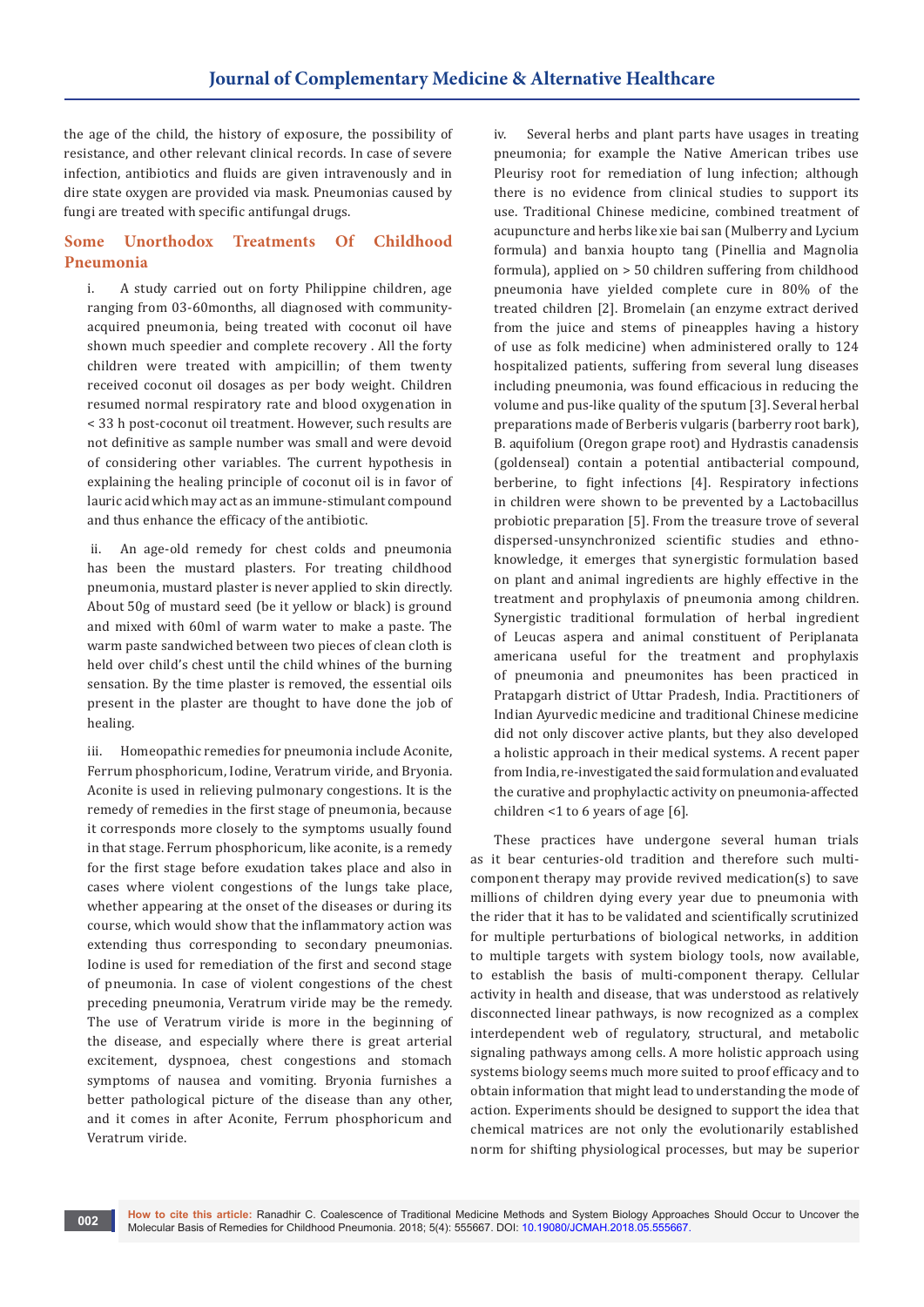the age of the child, the history of exposure, the possibility of resistance, and other relevant clinical records. In case of severe infection, antibiotics and fluids are given intravenously and in dire state oxygen are provided via mask. Pneumonias caused by fungi are treated with specific antifungal drugs.

## **Some Unorthodox Treatments Of Childhood Pneumonia**

i. A study carried out on forty Philippine children, age ranging from 03-60months, all diagnosed with communityacquired pneumonia, being treated with coconut oil have shown much speedier and complete recovery . All the forty children were treated with ampicillin; of them twenty received coconut oil dosages as per body weight. Children resumed normal respiratory rate and blood oxygenation in < 33 h post-coconut oil treatment. However, such results are not definitive as sample number was small and were devoid of considering other variables. The current hypothesis in explaining the healing principle of coconut oil is in favor of lauric acid which may act as an immune-stimulant compound and thus enhance the efficacy of the antibiotic.

 ii. An age-old remedy for chest colds and pneumonia has been the mustard plasters. For treating childhood pneumonia, mustard plaster is never applied to skin directly. About 50g of mustard seed (be it yellow or black) is ground and mixed with 60ml of warm water to make a paste. The warm paste sandwiched between two pieces of clean cloth is held over child's chest until the child whines of the burning sensation. By the time plaster is removed, the essential oils present in the plaster are thought to have done the job of healing.

iii. Homeopathic remedies for pneumonia include Aconite, Ferrum phosphoricum, Iodine, Veratrum viride, and Bryonia. Aconite is used in relieving pulmonary congestions. It is the remedy of remedies in the first stage of pneumonia, because it corresponds more closely to the symptoms usually found in that stage. Ferrum phosphoricum, like aconite, is a remedy for the first stage before exudation takes place and also in cases where violent congestions of the lungs take place, whether appearing at the onset of the diseases or during its course, which would show that the inflammatory action was extending thus corresponding to secondary pneumonias. Iodine is used for remediation of the first and second stage of pneumonia. In case of violent congestions of the chest preceding pneumonia, Veratrum viride may be the remedy. The use of Veratrum viride is more in the beginning of the disease, and especially where there is great arterial excitement, dyspnoea, chest congestions and stomach symptoms of nausea and vomiting. Bryonia furnishes a better pathological picture of the disease than any other, and it comes in after Aconite, Ferrum phosphoricum and Veratrum viride.

Several herbs and plant parts have usages in treating pneumonia; for example the Native American tribes use Pleurisy root for remediation of lung infection; although there is no evidence from clinical studies to support its use. Traditional Chinese medicine, combined treatment of acupuncture and herbs like xie bai san (Mulberry and Lycium formula) and banxia houpto tang (Pinellia and Magnolia formula), applied on > 50 children suffering from childhood pneumonia have yielded complete cure in 80% of the treated children [2]. Bromelain (an enzyme extract derived from the juice and stems of pineapples having a history of use as folk medicine) when administered orally to 124 hospitalized patients, suffering from several lung diseases including pneumonia, was found efficacious in reducing the volume and pus-like quality of the sputum [3]. Several herbal preparations made of Berberis vulgaris (barberry root bark), B. aquifolium (Oregon grape root) and Hydrastis canadensis (goldenseal) contain a potential antibacterial compound, berberine, to fight infections [4]. Respiratory infections in children were shown to be prevented by a Lactobacillus probiotic preparation [5]. From the treasure trove of several dispersed-unsynchronized scientific studies and ethnoknowledge, it emerges that synergistic formulation based on plant and animal ingredients are highly effective in the treatment and prophylaxis of pneumonia among children. Synergistic traditional formulation of herbal ingredient of Leucas aspera and animal constituent of Periplanata americana useful for the treatment and prophylaxis of pneumonia and pneumonites has been practiced in Pratapgarh district of Uttar Pradesh, India. Practitioners of Indian Ayurvedic medicine and traditional Chinese medicine did not only discover active plants, but they also developed a holistic approach in their medical systems. A recent paper from India, re-investigated the said formulation and evaluated the curative and prophylactic activity on pneumonia-affected children <1 to 6 years of age [6].

These practices have undergone several human trials as it bear centuries-old tradition and therefore such multicomponent therapy may provide revived medication(s) to save millions of children dying every year due to pneumonia with the rider that it has to be validated and scientifically scrutinized for multiple perturbations of biological networks, in addition to multiple targets with system biology tools, now available, to establish the basis of multi-component therapy. Cellular activity in health and disease, that was understood as relatively disconnected linear pathways, is now recognized as a complex interdependent web of regulatory, structural, and metabolic signaling pathways among cells. A more holistic approach using systems biology seems much more suited to proof efficacy and to obtain information that might lead to understanding the mode of action. Experiments should be designed to support the idea that chemical matrices are not only the evolutionarily established norm for shifting physiological processes, but may be superior